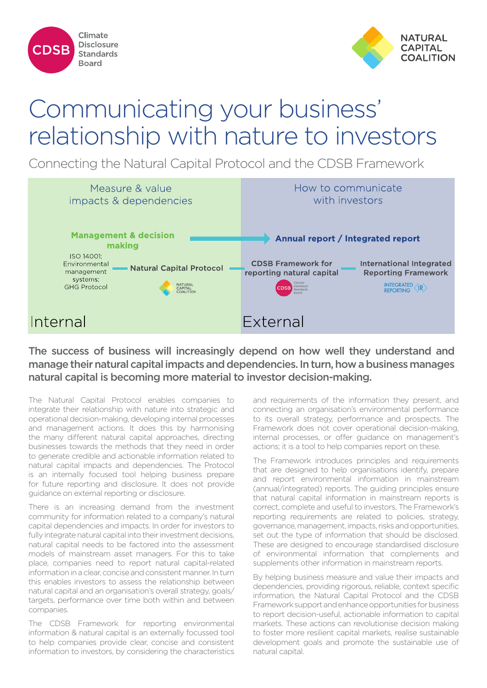



# Communicating your business' relationship with nature to investors

Connecting the Natural Capital Protocol and the CDSB Framework



The success of business will increasingly depend on how well they understand and manage their natural capital impacts and dependencies. In turn, how a business manages natural capital is becoming more material to investor decision-making.

The Natural Capital Protocol enables companies to integrate their relationship with nature into strategic and operational decision-making, developing internal processes and management actions. It does this by harmonising the many different natural capital approaches, directing businesses towards the methods that they need in order to generate credible and actionable information related to natural capital impacts and dependencies. The Protocol is an internally focused tool helping business prepare for future reporting and disclosure. It does not provide guidance on external reporting or disclosure.

There is an increasing demand from the investment community for information related to a company's natural capital dependencies and impacts. In order for investors to fully integrate natural capital into their investment decisions, natural capital needs to be factored into the assessment models of mainstream asset managers. For this to take place, companies need to report natural capital-related information in a clear, concise and consistent manner. In turn this enables investors to assess the relationship between natural capital and an organisation's overall strategy, goals/ targets, performance over time both within and between companies.

The CDSB Framework for reporting environmental information & natural capital is an externally focussed tool to help companies provide clear, concise and consistent information to investors, by considering the characteristics and requirements of the information they present, and connecting an organisation's environmental performance to its overall strategy, performance and prospects. The Framework does not cover operational decision-making, internal processes, or offer guidance on management's actions; it is a tool to help companies report on these.

The Framework introduces principles and requirements that are designed to help organisations identify, prepare and report environmental information in mainstream (annual/integrated) reports. The guiding principles ensure that natural capital information in mainstream reports is correct, complete and useful to investors. The Framework's reporting requirements are related to policies, strategy, governance, management, impacts, risks and opportunities, set out the type of information that should be disclosed. These are designed to encourage standardised disclosure of environmental information that complements and supplements other information in mainstream reports.

By helping business measure and value their impacts and dependencies, providing rigorous, reliable, context specific information, the Natural Capital Protocol and the CDSB Framework support and enhance opportunities for business to report decision-useful, actionable information to capital markets. These actions can revolutionise decision making to foster more resilient capital markets, realise sustainable development goals and promote the sustainable use of natural capital.